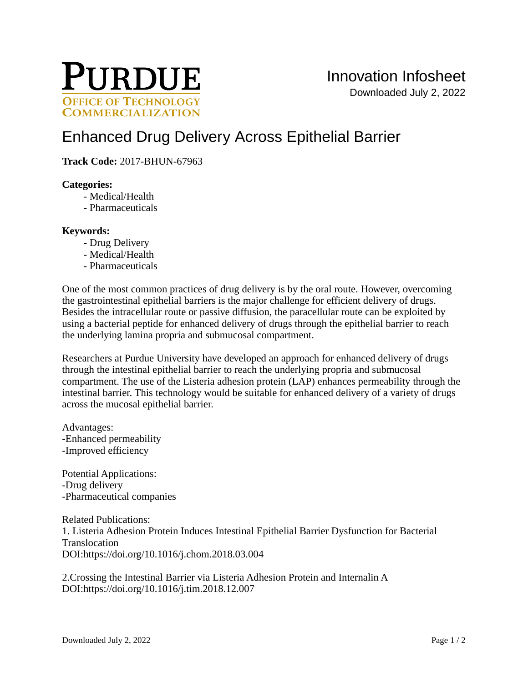

# [Enhanced Drug Delivery Across Epithelial Barrier](https://inventions.prf.org/innovation/6539)

**Track Code:** 2017-BHUN-67963

# **Categories:**

- Medical/Health
- Pharmaceuticals

#### **Keywords:**

- Drug Delivery
- Medical/Health
- Pharmaceuticals

One of the most common practices of drug delivery is by the oral route. However, overcoming the gastrointestinal epithelial barriers is the major challenge for efficient delivery of drugs. Besides the intracellular route or passive diffusion, the paracellular route can be exploited by using a bacterial peptide for enhanced delivery of drugs through the epithelial barrier to reach the underlying lamina propria and submucosal compartment.

Researchers at Purdue University have developed an approach for enhanced delivery of drugs through the intestinal epithelial barrier to reach the underlying propria and submucosal compartment. The use of the Listeria adhesion protein (LAP) enhances permeability through the intestinal barrier. This technology would be suitable for enhanced delivery of a variety of drugs across the mucosal epithelial barrier.

Advantages: -Enhanced permeability -Improved efficiency

Potential Applications: -Drug delivery -Pharmaceutical companies

Related Publications: 1. Listeria Adhesion Protein Induces Intestinal Epithelial Barrier Dysfunction for Bacterial Translocation DOI:<https://doi.org/10.1016/j.chom.2018.03.004>

2.Crossing the Intestinal Barrier via Listeria Adhesion Protein and Internalin A DOI:<https://doi.org/10.1016/j.tim.2018.12.007>